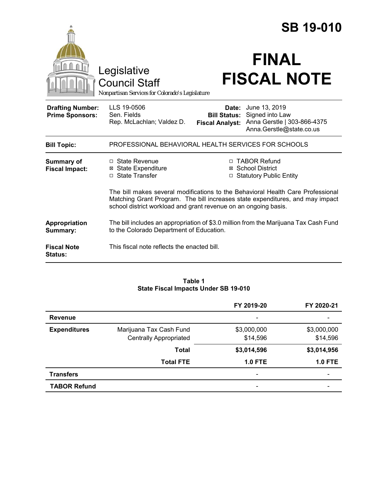|                                                   |                                                                                                                                                                                                                                     |                                               | <b>SB 19-010</b>                                                                                  |  |
|---------------------------------------------------|-------------------------------------------------------------------------------------------------------------------------------------------------------------------------------------------------------------------------------------|-----------------------------------------------|---------------------------------------------------------------------------------------------------|--|
|                                                   | Legislative<br><b>Council Staff</b><br>Nonpartisan Services for Colorado's Legislature                                                                                                                                              |                                               | <b>FINAL</b><br><b>FISCAL NOTE</b>                                                                |  |
| <b>Drafting Number:</b><br><b>Prime Sponsors:</b> | LLS 19-0506<br>Sen. Fields<br>Rep. McLachlan; Valdez D.                                                                                                                                                                             | <b>Bill Status:</b><br><b>Fiscal Analyst:</b> | Date: June 13, 2019<br>Signed into Law<br>Anna Gerstle   303-866-4375<br>Anna.Gerstle@state.co.us |  |
| <b>Bill Topic:</b>                                | PROFESSIONAL BEHAVIORAL HEALTH SERVICES FOR SCHOOLS                                                                                                                                                                                 |                                               |                                                                                                   |  |
| <b>Summary of</b><br><b>Fiscal Impact:</b>        | □ State Revenue<br><b>⊠</b> State Expenditure<br>□ State Transfer                                                                                                                                                                   |                                               | □ TABOR Refund<br>⊠ School District<br>□ Statutory Public Entity                                  |  |
|                                                   | The bill makes several modifications to the Behavioral Health Care Professional<br>Matching Grant Program. The bill increases state expenditures, and may impact<br>school district workload and grant revenue on an ongoing basis. |                                               |                                                                                                   |  |
| Appropriation<br>Summary:                         | The bill includes an appropriation of \$3.0 million from the Marijuana Tax Cash Fund<br>to the Colorado Department of Education.                                                                                                    |                                               |                                                                                                   |  |
| <b>Fiscal Note</b><br><b>Status:</b>              | This fiscal note reflects the enacted bill.                                                                                                                                                                                         |                                               |                                                                                                   |  |

#### **Table 1 State Fiscal Impacts Under SB 19-010**

|                     |                               | FY 2019-20               | FY 2020-21  |
|---------------------|-------------------------------|--------------------------|-------------|
| <b>Revenue</b>      |                               | $\overline{\phantom{0}}$ |             |
| <b>Expenditures</b> | Marijuana Tax Cash Fund       | \$3,000,000              | \$3,000,000 |
|                     | <b>Centrally Appropriated</b> | \$14,596                 | \$14,596    |
|                     | <b>Total</b>                  | \$3,014,596              | \$3,014,956 |
|                     | <b>Total FTE</b>              | <b>1.0 FTE</b>           | $1.0$ FTE   |
| <b>Transfers</b>    |                               | $\overline{\phantom{0}}$ |             |
| <b>TABOR Refund</b> |                               | -                        |             |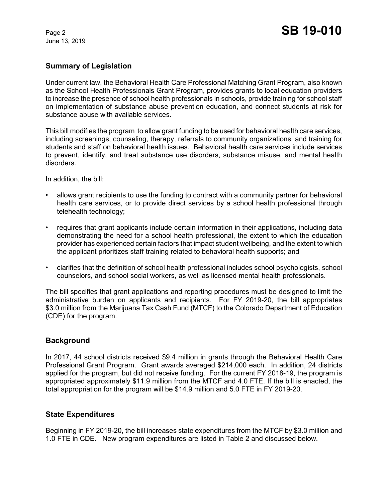June 13, 2019

# **Summary of Legislation**

Under current law, the Behavioral Health Care Professional Matching Grant Program, also known as the School Health Professionals Grant Program, provides grants to local education providers to increase the presence of school health professionals in schools, provide training for school staff on implementation of substance abuse prevention education, and connect students at risk for substance abuse with available services.

This bill modifies the program to allow grant funding to be used for behavioral health care services, including screenings, counseling, therapy, referrals to community organizations, and training for students and staff on behavioral health issues. Behavioral health care services include services to prevent, identify, and treat substance use disorders, substance misuse, and mental health disorders.

In addition, the bill:

- allows grant recipients to use the funding to contract with a community partner for behavioral health care services, or to provide direct services by a school health professional through telehealth technology;
- requires that grant applicants include certain information in their applications, including data demonstrating the need for a school health professional, the extent to which the education provider has experienced certain factors that impact student wellbeing, and the extent to which the applicant prioritizes staff training related to behavioral health supports; and
- clarifies that the definition of school health professional includes school psychologists, school counselors, and school social workers, as well as licensed mental health professionals.

The bill specifies that grant applications and reporting procedures must be designed to limit the administrative burden on applicants and recipients. For FY 2019-20, the bill appropriates \$3.0 million from the Marijuana Tax Cash Fund (MTCF) to the Colorado Department of Education (CDE) for the program.

# **Background**

In 2017, 44 school districts received \$9.4 million in grants through the Behavioral Health Care Professional Grant Program. Grant awards averaged \$214,000 each. In addition, 24 districts applied for the program, but did not receive funding. For the current FY 2018-19, the program is appropriated approximately \$11.9 million from the MTCF and 4.0 FTE. If the bill is enacted, the total appropriation for the program will be \$14.9 million and 5.0 FTE in FY 2019-20.

# **State Expenditures**

Beginning in FY 2019-20, the bill increases state expenditures from the MTCF by \$3.0 million and 1.0 FTE in CDE. New program expenditures are listed in Table 2 and discussed below.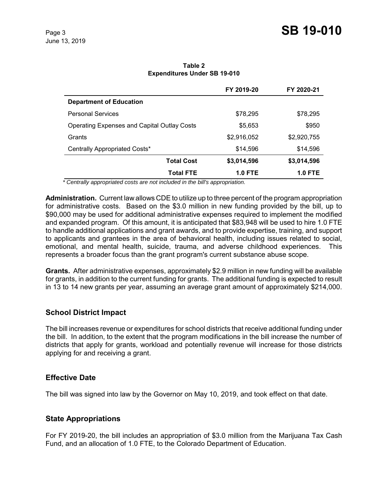|                                                    | FY 2019-20  | FY 2020-21     |
|----------------------------------------------------|-------------|----------------|
| <b>Department of Education</b>                     |             |                |
| <b>Personal Services</b>                           | \$78,295    | \$78,295       |
| <b>Operating Expenses and Capital Outlay Costs</b> | \$5,653     | \$950          |
| Grants                                             | \$2,916,052 | \$2,920,755    |
| Centrally Appropriated Costs*                      | \$14,596    | \$14,596       |
| <b>Total Cost</b>                                  | \$3,014,596 | \$3,014,596    |
| <b>Total FTE</b>                                   | 1.0 FTE     | <b>1.0 FTE</b> |

**Table 2 Expenditures Under SB 19-010**

 *\* Centrally appropriated costs are not included in the bill's appropriation.*

**Administration.** Current law allows CDE to utilize up to three percent of the program appropriation for administrative costs. Based on the \$3.0 million in new funding provided by the bill, up to \$90,000 may be used for additional administrative expenses required to implement the modified and expanded program. Of this amount, it is anticipated that \$83,948 will be used to hire 1.0 FTE to handle additional applications and grant awards, and to provide expertise, training, and support to applicants and grantees in the area of behavioral health, including issues related to social, emotional, and mental health, suicide, trauma, and adverse childhood experiences. This represents a broader focus than the grant program's current substance abuse scope.

**Grants.** After administrative expenses, approximately \$2.9 million in new funding will be available for grants, in addition to the current funding for grants. The additional funding is expected to result in 13 to 14 new grants per year, assuming an average grant amount of approximately \$214,000.

# **School District Impact**

The bill increases revenue or expenditures for school districts that receive additional funding under the bill. In addition, to the extent that the program modifications in the bill increase the number of districts that apply for grants, workload and potentially revenue will increase for those districts applying for and receiving a grant.

#### **Effective Date**

The bill was signed into law by the Governor on May 10, 2019, and took effect on that date.

#### **State Appropriations**

For FY 2019-20, the bill includes an appropriation of \$3.0 million from the Marijuana Tax Cash Fund, and an allocation of 1.0 FTE, to the Colorado Department of Education.